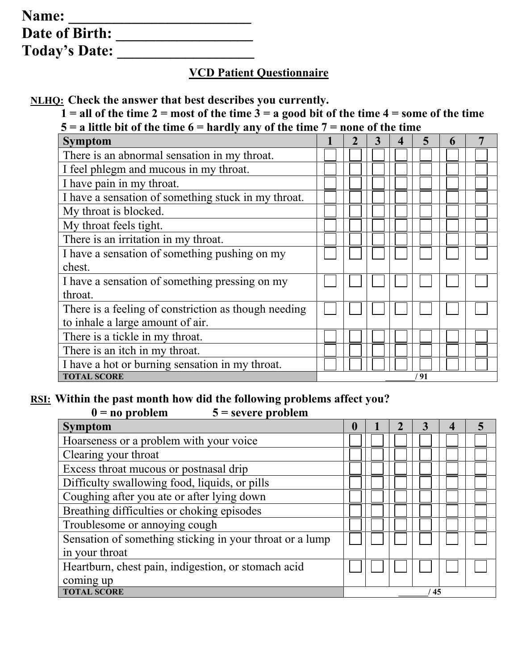| Name:                |  |
|----------------------|--|
| Date of Birth:       |  |
| <b>Today's Date:</b> |  |

### **VCD Patient Questionnaire**

**NLHQ: Check the answer that best describes you currently.** 

 $1 =$  all of the time  $2 =$  most of the time  $3 =$  a good bit of the time  $4 =$  some of the time  $5 = a$  little bit of the time  $6 =$  hardly any of the time  $7 =$  none of the time

| uit on the third of that any any or the third        |  |  |      |  |
|------------------------------------------------------|--|--|------|--|
| <b>Symptom</b>                                       |  |  |      |  |
| There is an abnormal sensation in my throat.         |  |  |      |  |
| I feel phlegm and mucous in my throat.               |  |  |      |  |
| I have pain in my throat.                            |  |  |      |  |
| I have a sensation of something stuck in my throat.  |  |  |      |  |
| My throat is blocked.                                |  |  |      |  |
| My throat feels tight.                               |  |  |      |  |
| There is an irritation in my throat.                 |  |  |      |  |
| I have a sensation of something pushing on my        |  |  |      |  |
| chest.                                               |  |  |      |  |
| I have a sensation of something pressing on my       |  |  |      |  |
| throat.                                              |  |  |      |  |
| There is a feeling of constriction as though needing |  |  |      |  |
| to inhale a large amount of air.                     |  |  |      |  |
| There is a tickle in my throat.                      |  |  |      |  |
| There is an itch in my throat.                       |  |  |      |  |
| I have a hot or burning sensation in my throat.      |  |  |      |  |
| <b>TOTAL SCORE</b>                                   |  |  | ' 91 |  |

#### <u>RSI:</u> Within the past month how did the following problems affect you?<br> $0 =$  no problem<br>**5** = severe problem  $\overline{\mathbf{5}}$  = severe problem

| $v - uv$ propient<br>$3 -$ severe propient               |          |  |  |    |   |
|----------------------------------------------------------|----------|--|--|----|---|
| <b>Symptom</b>                                           | $\bf{0}$ |  |  |    | 5 |
| Hoarseness or a problem with your voice                  |          |  |  |    |   |
| Clearing your throat                                     |          |  |  |    |   |
| Excess throat mucous or postnasal drip                   |          |  |  |    |   |
| Difficulty swallowing food, liquids, or pills            |          |  |  |    |   |
| Coughing after you ate or after lying down               |          |  |  |    |   |
| Breathing difficulties or choking episodes               |          |  |  |    |   |
| Troublesome or annoying cough                            |          |  |  |    |   |
| Sensation of something sticking in your throat or a lump |          |  |  |    |   |
| in your throat                                           |          |  |  |    |   |
| Heartburn, chest pain, indigestion, or stomach acid      |          |  |  |    |   |
| coming up                                                |          |  |  |    |   |
| <b>TOTAL SCORE</b>                                       |          |  |  | 45 |   |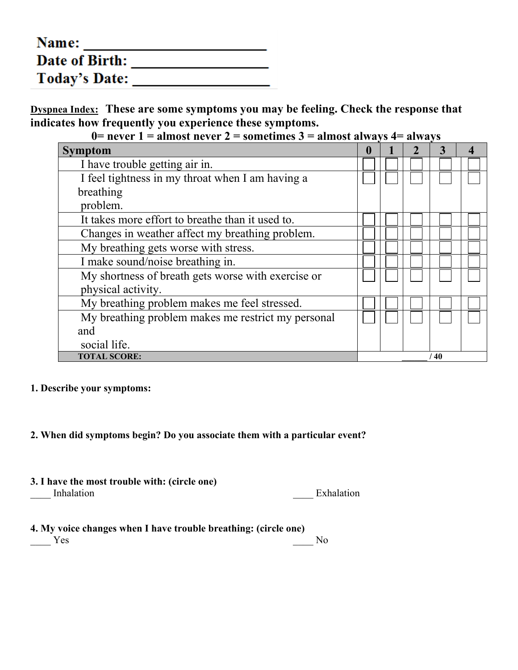| Name:                |  |
|----------------------|--|
| Date of Birth:       |  |
| <b>Today's Date:</b> |  |

**Dyspnea Index: These are some symptoms you may be feeling. Check the response that indicates how frequently you experience these symptoms.**

**0= never 1 = almost never 2 = sometimes 3 = almost always 4= always**

| <b>Symptom</b>                                     |  |  |    |  |
|----------------------------------------------------|--|--|----|--|
| I have trouble getting air in.                     |  |  |    |  |
| I feel tightness in my throat when I am having a   |  |  |    |  |
| breathing                                          |  |  |    |  |
| problem.                                           |  |  |    |  |
| It takes more effort to breathe than it used to.   |  |  |    |  |
| Changes in weather affect my breathing problem.    |  |  |    |  |
| My breathing gets worse with stress.               |  |  |    |  |
| I make sound/noise breathing in.                   |  |  |    |  |
| My shortness of breath gets worse with exercise or |  |  |    |  |
| physical activity.                                 |  |  |    |  |
| My breathing problem makes me feel stressed.       |  |  |    |  |
| My breathing problem makes me restrict my personal |  |  |    |  |
| and                                                |  |  |    |  |
| social life.                                       |  |  |    |  |
| <b>TOTAL SCORE:</b>                                |  |  | 40 |  |

#### **1. Describe your symptoms:**

#### **2. When did symptoms begin? Do you associate them with a particular event?**

**3. I have the most trouble with: (circle one)** 

\_\_\_\_ Inhalation \_\_\_\_ Exhalation

| 4. My voice changes when I have trouble breathing: (circle one) |    |
|-----------------------------------------------------------------|----|
| Yes.                                                            | N٥ |